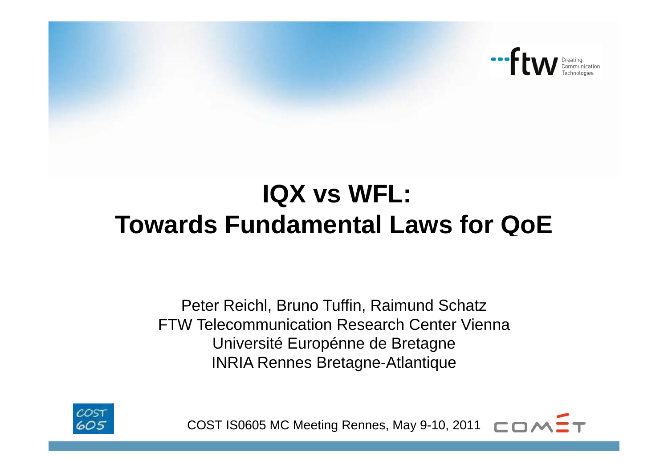

# **IQX vs WFL: Towards Fundamental Laws for QoE**

Peter Reichl, Bruno Tuffin, Raimund Schatz FTW Telecommunication Research Center ViennaUniversité Europénne de Bretagne INRIA Rennes Bretagne-Atlantique



COST IS0605 MC Meeting Rennes, May 9-10, 2011  $\Box \Box \land$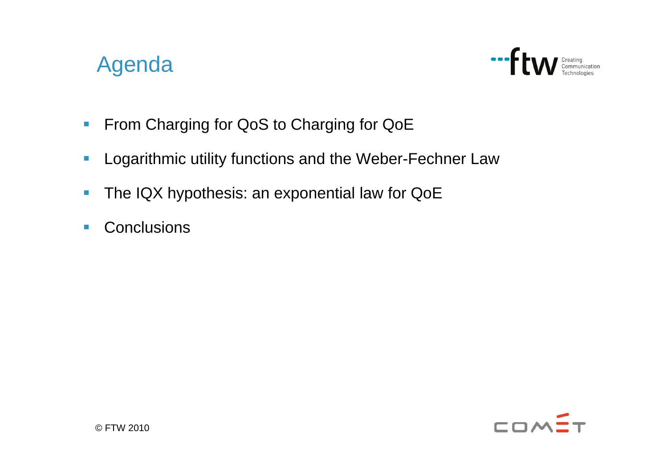#### Agenda



- $\Box$ From Charging for QoS to Charging for QoE
- $\Box$ Logarithmic utility functions and the Weber-Fechner Law
- $\overline{\phantom{a}}$ The IQX hypothesis: an exponential law for QoE
- $\overline{\mathbb{R}^n}$ ■ Conclusions

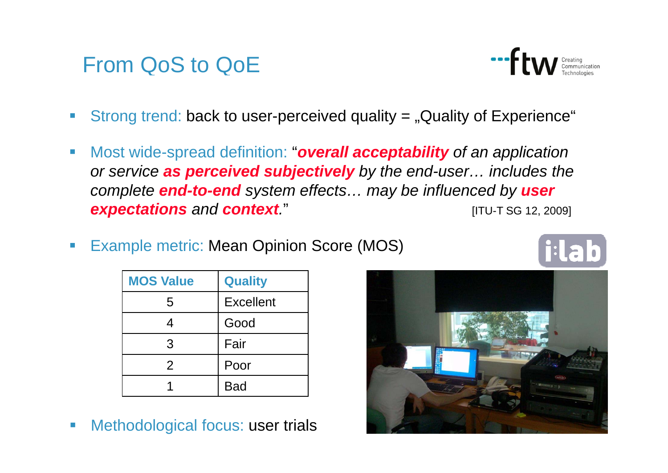#### From QoS to QoE

- $\mathcal{C}$ Strong trend: back to user-perceived quality  $=$  "Quality of Experience"
- $\mathcal{L}_{\mathcal{A}}$  Most wide-spread definition: "*overall acceptability of an application or service as perceived subjectively by the end-user… includes the complete end-to-end system effects… may be influenced by user*  **expectations** and **context**." **Expectations** and *context*."
- $\left\vert \cdot \right\rangle$ Example metric: Mean Opinion Score (MOS)

| <b>MOS Value</b> | <b>Quality</b>   |
|------------------|------------------|
| 5                | <b>Excellent</b> |
| 4                | Good             |
| 3                | Fair             |
| 2                | Poor             |
|                  | <b>Bad</b>       |

e.<br>Ka Methodological focus: user trials



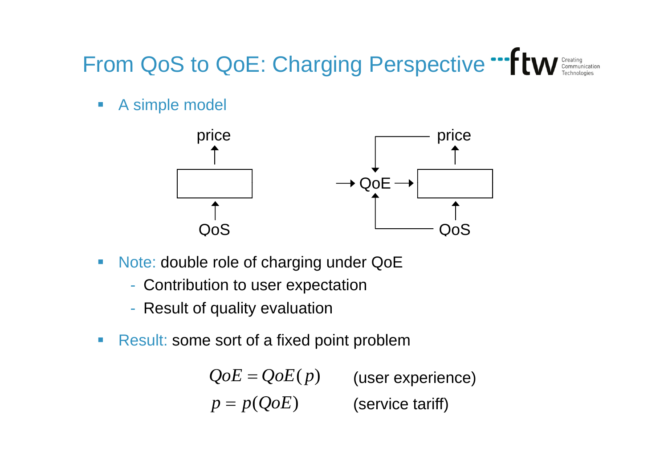## From QoS to QoE: Charging Perspective

 $\overline{\mathbb{R}^n}$ A simple model



- $\mathcal{C}_{\mathcal{A}}$  Note: double role of charging under QoE
	- Contribution to user expectation
	- -- Result of quality evaluation
- $\mathbb{R}^n$ **Result: some sort of a fixed point problem**

 $p = p(QoE)$  $QoE = QoE(p)$ (user experience) (service tariff)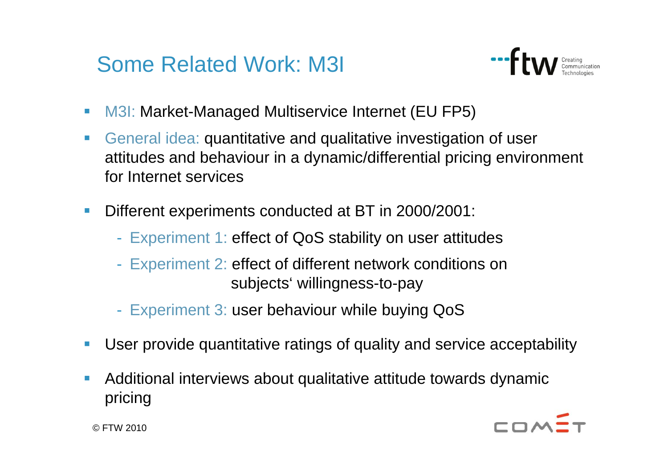### Some Related Work: M3I



- $\mathcal{L}_{\mathcal{A}}$ M3I: Market-Managed Multiservice Internet (EU FP5)
- $\overline{\phantom{a}}$  General idea: quantitative and qualitative investigation of user attitudes and behaviour in a dynamic/differential pricing environment for Internet services
- $\blacksquare$  Different experiments conducted at BT in 2000/2001:
	- Experiment 1: effect of QoS stability on user attitudes
	- Experiment 2: effect of different network conditions on subjects' willingness-to-pay
	- Experiment 3: user behaviour while buying QoS
- $\blacksquare$ User provide quantitative ratings of quality and service acceptability
- П Additional interviews about qualitative attitude towards dynamic pricing



© FTW 2010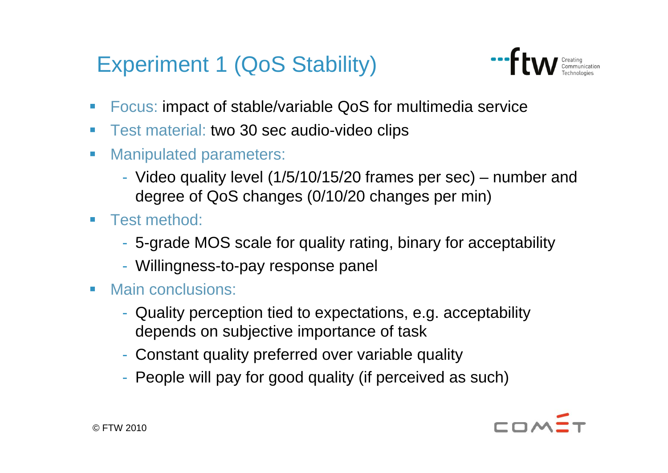## Experiment 1 (QoS Stability)



- Focus: impact of stable/variable QoS for multimedia service
- Test material: two 30 sec audio-video clips
- $\mathbb{R}^n$  Manipulated parameters:
	- Video quality level (1/5/10/15/20 frames per sec) number and degree of QoS changes (0/10/20 changes per min)
- $\mathcal{L}_{\mathcal{A}}$  Test method:
	- 5-grade MOS scale for quality rating, binary for acceptability
	- Willingness-to-pay response panel
- $\mathcal{L}_{\mathcal{A}}$  Main conclusions:
	- Quality perception tied to expectations, e.g. acceptability depends on subjective importance of task
	- Constant quality preferred over variable quality
	- -- People will pay for good quality (if perceived as such)

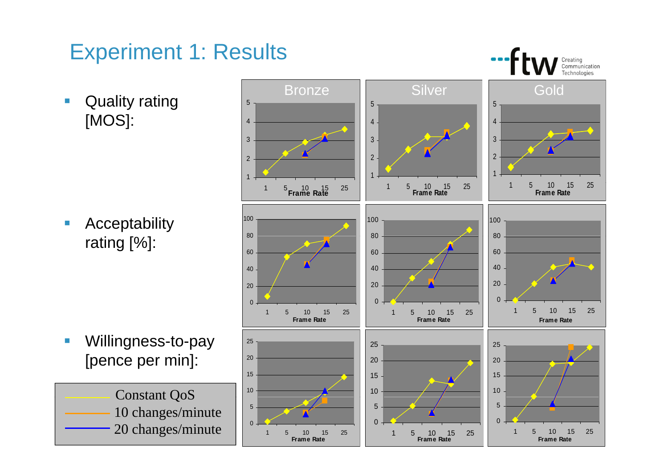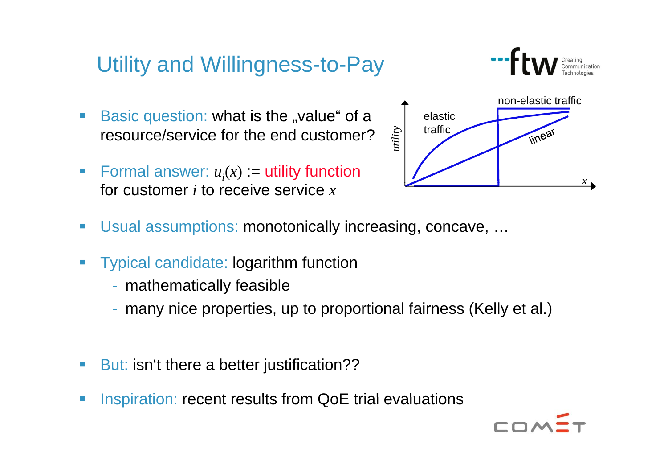# Utility and Willingness-to-Pay<br>Basic question: what is the "value" of a  $\int$  elastic

- Basic question: what is the "value" of a resource/service for the end customer?
- Formal answer:  $u_i(x) :=$  utility function for customer *i* to receive service *<sup>x</sup>*



- Usual assumptions: monotonically increasing, concave, …
- e.<br>Ka Typical candidate: logarithm function
	- mathematically feasible
	- many nice properties, up to proportional fairness (Kelly et al.)
- e. But: isn't there a better justification??
- e. Inspiration: recent results from QoE trial evaluations

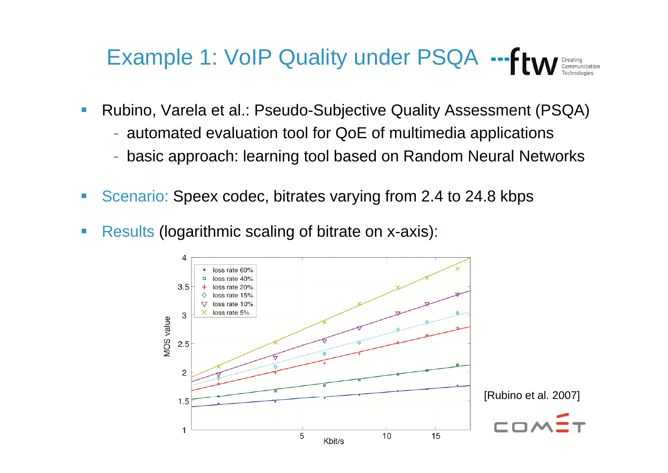#### Example 1: VoIP Quality under PSQA  $\leftarrow$ fra

- $\mathcal{L}_{\mathcal{A}}$  Rubino, Varela et al.: Pseudo-Subjective Quality Assessment (PSQA)
	- automated evaluation tool for QoE of multimedia applications
	- basic approach: learning tool based on Random Neural Networks
- $\mathcal{L}_{\mathcal{A}}$ Scenario: Speex codec, bitrates varying from 2.4 to 24.8 kbps
- $\mathcal{L}_{\mathcal{A}}$ • Results (logarithmic scaling of bitrate on x-axis):

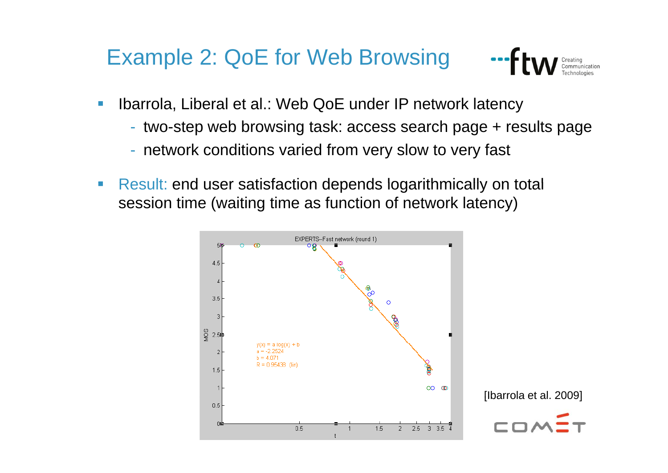#### Example 2: QoE for Web Browsing



- $\mathcal{L}_{\mathcal{A}}$  Ibarrola, Liberal et al.: Web QoE under IP network latency
	- two-step web browsing task: access search page + results page
	- network conditions varied from very slow to very fast
- $\mathcal{L}_{\mathcal{A}}$ Result: end user satisfaction depends logarithmically on total session time (waiting time as function of network latency)

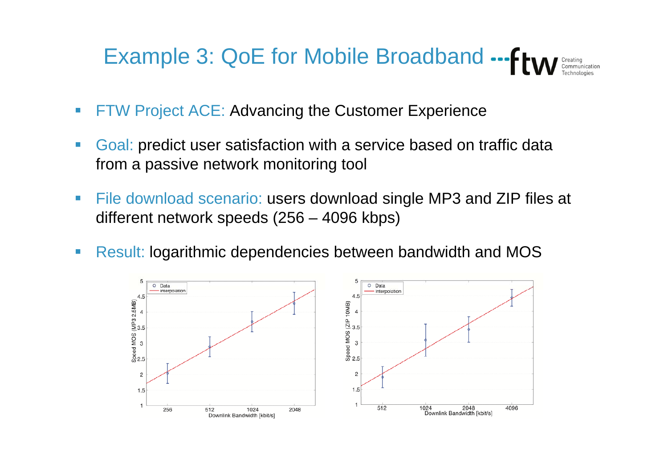# Example 3: QoE for Mobile Broadband ... From

- $\overline{\phantom{a}}$ FTW Project ACE: Advancing the Customer Experience
- $\overline{\phantom{a}}$  Goal: predict user satisfaction with a service based on traffic data from a passive network monitoring tool
- $\mathcal{L}_{\mathcal{A}}$  File download scenario: users download single MP3 and ZIP files at different network speeds (256 – 4096 kbps)
- $\overline{\phantom{a}}$ Result: logarithmic dependencies between bandwidth and MOS

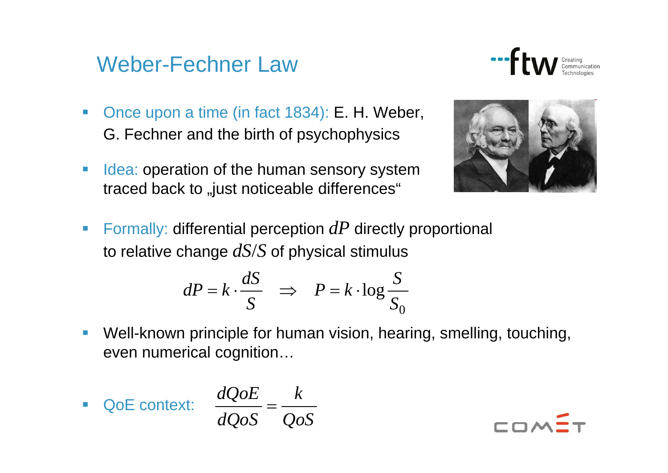#### Weber-Fechner Law



- $\overline{\phantom{a}}$  Once upon a time (in fact 1834): E. H. Weber, G. Fechner and the birth of psychophysics
- $\mathcal{C}^{\mathcal{A}}$ Idea: operation of the human sensory system traced back to "just noticeable differences"



Formally: differential perception  $dP$  directly proportional to relative change *dS*/*S* of physical stimulus

$$
dP = k \cdot \frac{dS}{S} \quad \Rightarrow \quad P = k \cdot \log \frac{S}{S_0}
$$

 $\frac{1}{2}$  Well-known principle for human vision, hearing, smelling, touching, even numerical cognition…

**QoE context:** 
$$
\frac{dQoE}{dQoS} = \frac{k}{Qo}
$$

$$
\frac{dQoE}{dQoS} = \frac{k}{QoS}
$$

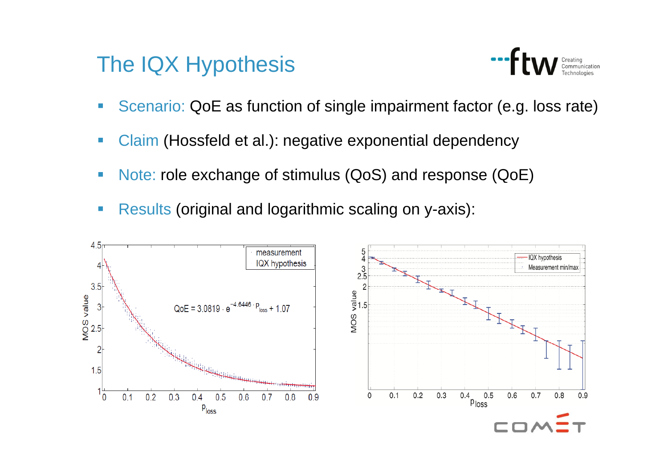#### The IQX Hypothesis



- Scenario: QoE as function of single impairment factor (e.g. loss rate)
- Claim (Hossfeld et al.): negative exponential dependency
- Note: role exchange of stimulus (QoS) and response (QoE)
- $\mathcal{C}^{\mathcal{A}}$ **Results (original and logarithmic scaling on y-axis):**

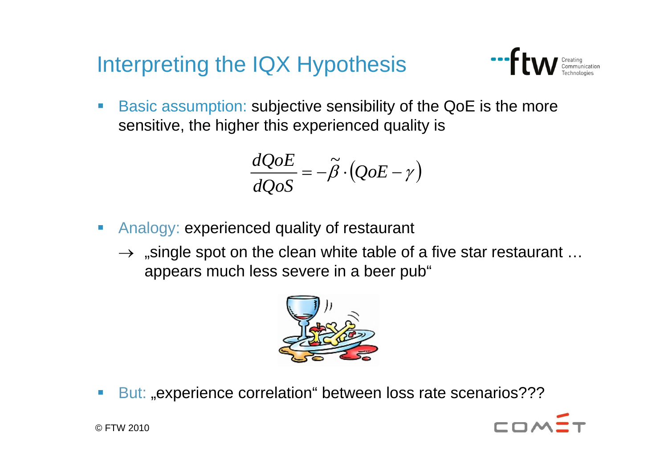Interpreting the IQX Hypothesis



 Basic assumption: subjective sensibility of the QoE is the more sensitive, the higher this experienced quality is

$$
\frac{dQoE}{dQoS} = -\tilde{\beta} \cdot (QoE - \gamma)
$$

- $\Box$ • Analogy: experienced quality of restaurant
	- $\rightarrow$  "single spot on the clean white table of a five star restaurant … appears much less severe in a beer pub"



e.<br>Ka ■ But: "experience correlation" between loss rate scenarios???



© FTW 2010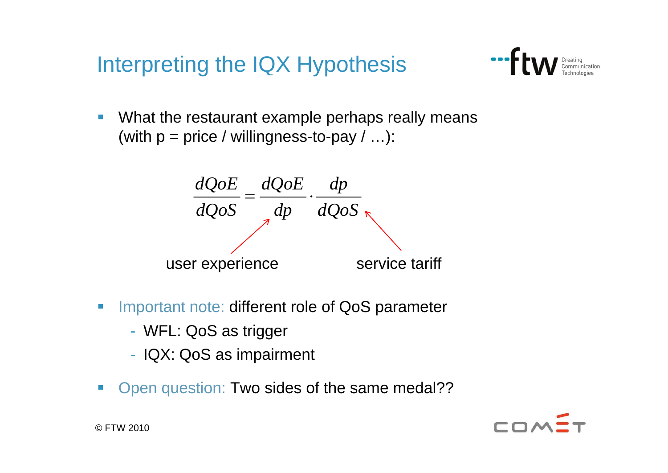Interpreting the IQX Hypothesis



 $\mathbb{R}^3$  What the restaurant example perhaps really means (with  $p = price / willingness-to-pay / ...$ ):



- e.<br>Ka Important note: different role of QoS parameter
	- -WFL: QoS as trigger
	- -- IQX: QoS as impairment
- e.<br>Ka Open question: Two sides of the same medal??

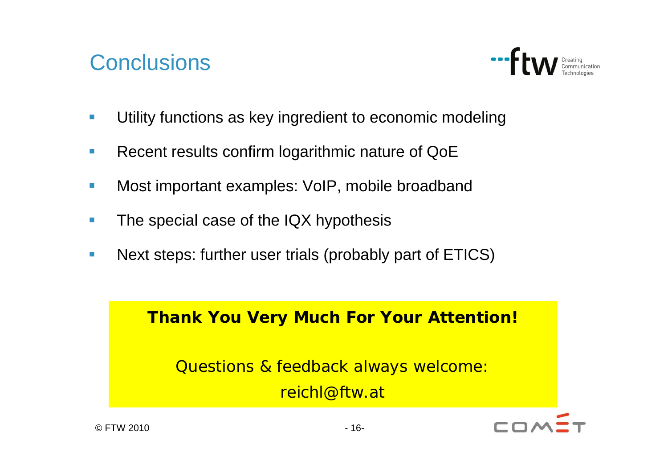#### **Conclusions**



- $\overline{\phantom{a}}$ Utility functions as key ingredient to economic modeling
- $\mathcal{L}_{\mathcal{A}}$ Recent results confirm logarithmic nature of QoE
- $\overline{\phantom{a}}$ • Most important examples: VoIP, mobile broadband
- $\Box$ The special case of the IQX hypothesis
- $\mathcal{L}_{\mathcal{A}}$ Next steps: further user trials (probably part of ETICS)

#### **Thank You Very Much For Your Attention!**

Questions & feedback always welcome: reichl@ftw.at